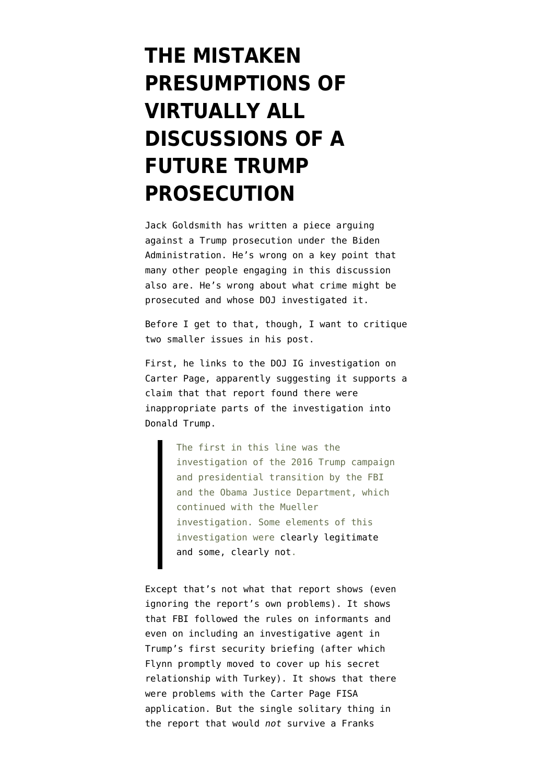## **[THE MISTAKEN](https://www.emptywheel.net/2020/12/12/the-mistaken-timeline-of-virtually-all-discussions-of-a-future-trump-prosecution/) [PRESUMPTIONS OF](https://www.emptywheel.net/2020/12/12/the-mistaken-timeline-of-virtually-all-discussions-of-a-future-trump-prosecution/) [VIRTUALLY ALL](https://www.emptywheel.net/2020/12/12/the-mistaken-timeline-of-virtually-all-discussions-of-a-future-trump-prosecution/) [DISCUSSIONS OF A](https://www.emptywheel.net/2020/12/12/the-mistaken-timeline-of-virtually-all-discussions-of-a-future-trump-prosecution/) [FUTURE TRUMP](https://www.emptywheel.net/2020/12/12/the-mistaken-timeline-of-virtually-all-discussions-of-a-future-trump-prosecution/) [PROSECUTION](https://www.emptywheel.net/2020/12/12/the-mistaken-timeline-of-virtually-all-discussions-of-a-future-trump-prosecution/)**

Jack Goldsmith has [written a piece](https://www.lawfareblog.com/glut-high-stakes-cross-party-cross-administration-investigations) arguing against a Trump prosecution under the Biden Administration. He's wrong on a key point that many other people engaging in this discussion also are. He's wrong about what crime might be prosecuted and whose DOJ investigated it.

Before I get to that, though, I want to critique two smaller issues in his post.

First, he links to the DOJ IG investigation on Carter Page, apparently suggesting it supports a claim that that report found there were inappropriate parts of the investigation into Donald Trump.

> The first in this line was the investigation of the 2016 Trump campaign and presidential transition by the FBI and the Obama Justice Department, which continued with the Mueller investigation. Some elements of this investigation were [clearly legitimate](https://www.justice.gov/storage/120919-examination.pdf) [and some, clearly not.](https://www.justice.gov/storage/120919-examination.pdf)

Except that's not what that report shows (even ignoring [the report's own problems](https://www.emptywheel.net/2019/12/30/the-inspector-general-report-on-carter-page-fails-to-meet-the-standard-it-applies-to-the-fbi/)). It shows that FBI followed the rules on informants and even on including an investigative agent in Trump's first security briefing (after which Flynn promptly moved to cover up his secret relationship with Turkey). It shows that there were problems with the Carter Page FISA application. But the single solitary thing in the report that would *not* survive a Franks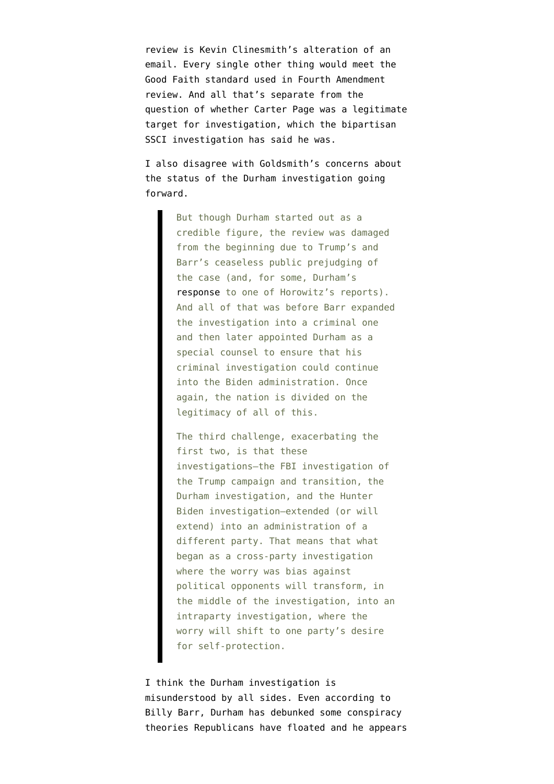review is Kevin Clinesmith's alteration of an email. Every single other thing would meet the Good Faith standard used in Fourth Amendment review. And all that's separate from the question of whether Carter Page was a legitimate target for investigation, which the bipartisan SSCI investigation has said he was.

I also disagree with Goldsmith's concerns about the status of the Durham investigation going forward.

> But though Durham started out as a credible figure, the review was damaged from the beginning due to Trump's and Barr's ceaseless public prejudging of the case (and, for some, Durham's [response](https://www.nytimes.com/2019/12/09/us/politics/barr-durham-ig-report-russia-investigation.html) to one of Horowitz's reports). And all of that was before Barr expanded the investigation into a criminal one and then later appointed Durham as a special counsel to ensure that his criminal investigation could continue into the Biden administration. Once again, the nation is divided on the legitimacy of all of this.

> The third challenge, exacerbating the first two, is that these investigations—the FBI investigation of the Trump campaign and transition, the Durham investigation, and the Hunter Biden investigation—extended (or will extend) into an administration of a different party. That means that what began as a cross-party investigation where the worry was bias against political opponents will transform, in the middle of the investigation, into an intraparty investigation, where the worry will shift to one party's desire for self-protection.

I think the Durham investigation is misunderstood by all sides. Even according to Billy Barr, Durham has debunked some conspiracy theories Republicans have floated and he appears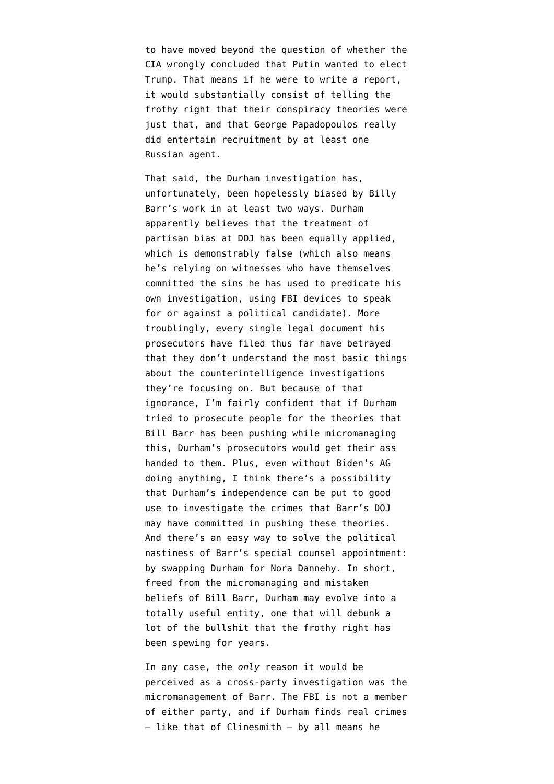to have moved beyond the question of whether the CIA wrongly concluded that Putin wanted to elect Trump. That means if he were to write a report, it would substantially consist of telling the frothy right that their conspiracy theories were just that, and that George Papadopoulos really did entertain recruitment by at least one Russian agent.

That said, the Durham investigation has, unfortunately, been hopelessly biased by Billy Barr's work in at least two ways. Durham [apparently believes](https://www.emptywheel.net/2020/12/04/the-clinesmith-sentencing-memos-politically-biased-data-in-politically-biased-data-out/) that the treatment of partisan bias at DOJ has been equally applied, which is demonstrably false (which also means he's relying on witnesses who have themselves committed the sins he has used to predicate his own investigation, using FBI devices to speak for or against a political candidate). More troublingly, [every single legal document](https://www.emptywheel.net/2020/08/15/the-clinesmith-information-includes-evidence-that-john-durham-misunderstands-his-investigation/) his prosecutors have filed thus far have betrayed that they don't understand the most basic things about the counterintelligence investigations they're focusing on. But because of that ignorance, I'm fairly confident that if Durham tried to prosecute people for the theories that Bill Barr has been pushing while micromanaging this, Durham's prosecutors would get their ass handed to them. Plus, even without Biden's AG doing anything, I think there's [a possibility](https://www.emptywheel.net/2020/12/03/john-durham-has-unaltered-copies-of-the-documents-that-got-altered-in-the-flynn-docket/) that Durham's independence can be put to good use to investigate the crimes that Barr's DOJ may have committed in pushing these theories. And there's an easy way to solve the political nastiness of Barr's special counsel appointment: by swapping Durham for Nora Dannehy. In short, freed from the micromanaging and mistaken beliefs of Bill Barr, Durham may evolve into a totally useful entity, one that will debunk a lot of the bullshit that the frothy right has been spewing for years.

In any case, the *only* reason it would be perceived as a cross-party investigation was the micromanagement of Barr. The FBI is not a member of either party, and if Durham finds real crimes — like that of Clinesmith — by all means he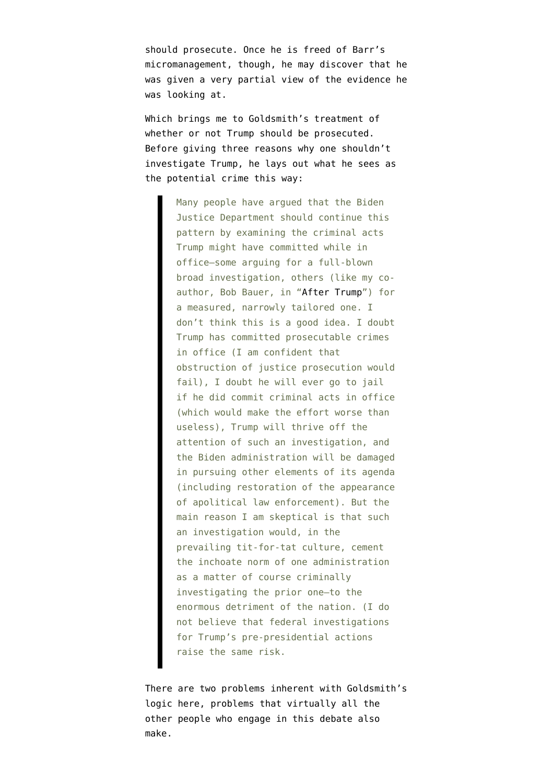should prosecute. Once he is freed of Barr's micromanagement, though, he may discover that he was given a very partial view of the evidence he was looking at.

Which brings me to Goldsmith's treatment of whether or not Trump should be prosecuted. Before giving three reasons why one shouldn't investigate Trump, he lays out what he sees as the potential crime this way:

> Many people have argued that the Biden Justice Department should continue this pattern by examining the criminal acts Trump might have committed while in office—some arguing for a full-blown broad investigation, others (like my coauthor, Bob Bauer, in "[After Trump](https://www.amazon.com/After-Trump-Reconstructing-Bob-Bauer/dp/1735480614)") for a measured, narrowly tailored one. I don't think this is a good idea. I doubt Trump has committed prosecutable crimes in office (I am confident that obstruction of justice prosecution would fail), I doubt he will ever go to jail if he did commit criminal acts in office (which would make the effort worse than useless), Trump will thrive off the attention of such an investigation, and the Biden administration will be damaged in pursuing other elements of its agenda (including restoration of the appearance of apolitical law enforcement). But the main reason I am skeptical is that such an investigation would, in the prevailing tit-for-tat culture, cement the inchoate norm of one administration as a matter of course criminally investigating the prior one—to the enormous detriment of the nation. (I do not believe that federal investigations for Trump's pre-presidential actions raise the same risk.

There are two problems inherent with Goldsmith's logic here, problems that virtually all the other people who engage in this debate also make.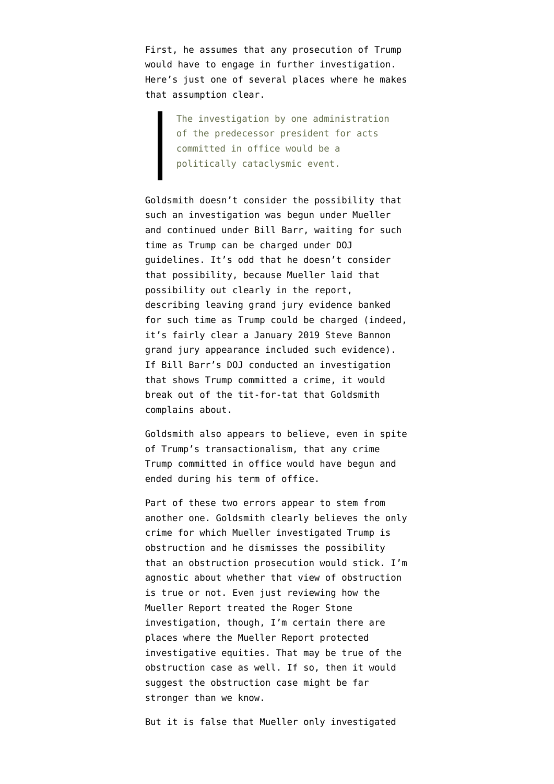First, he assumes that any prosecution of Trump would have to engage in further investigation. Here's just one of several places where he makes that assumption clear.

> The investigation by one administration of the predecessor president for acts committed in office would be a politically cataclysmic event.

Goldsmith doesn't consider the possibility that such an investigation was begun under Mueller and continued under Bill Barr, waiting for such time as Trump can be charged under DOJ guidelines. It's odd that he doesn't consider that possibility, because Mueller laid that possibility out clearly in the report, describing leaving grand jury evidence banked for such time as Trump could be charged (indeed, it's fairly clear a January 2019 Steve Bannon grand jury appearance included such evidence). If Bill Barr's DOJ conducted an investigation that shows Trump committed a crime, it would break out of the tit-for-tat that Goldsmith complains about.

Goldsmith also appears to believe, even in spite of Trump's transactionalism, that any crime Trump committed in office would have begun and ended during his term of office.

Part of these two errors appear to stem from another one. Goldsmith clearly believes the only crime for which Mueller investigated Trump is obstruction and he dismisses the possibility that an obstruction prosecution would stick. I'm agnostic about whether that view of obstruction is true or not. Even just reviewing [how the](https://www.emptywheel.net/2020/10/15/rat-fucker-rashomon-accessing-hollywood-cover-ups-of-the-russian-attribution/) [Mueller Report treated the Roger Stone](https://www.emptywheel.net/2020/10/15/rat-fucker-rashomon-accessing-hollywood-cover-ups-of-the-russian-attribution/) [investigation](https://www.emptywheel.net/2020/10/15/rat-fucker-rashomon-accessing-hollywood-cover-ups-of-the-russian-attribution/), though, I'm certain there are places where the Mueller Report protected investigative equities. That may be true of the obstruction case as well. If so, then it would suggest the obstruction case might be far stronger than we know.

But it is false that Mueller only investigated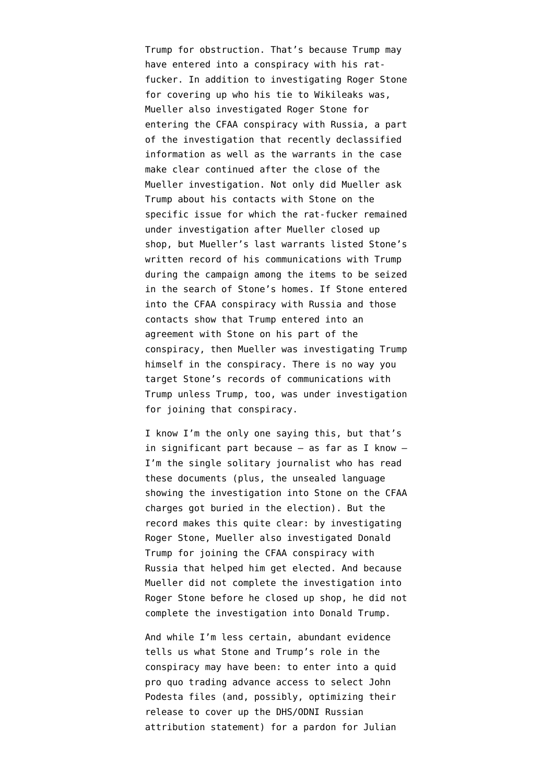Trump for obstruction. That's because Trump may have entered into a conspiracy with his ratfucker. In addition to investigating Roger Stone for covering up who his tie to Wikileaks was, Mueller also investigated Roger Stone for entering the CFAA conspiracy with Russia, a part of the investigation that [recently declassified](https://www.emptywheel.net/2020/11/03/unsealed-mueller-report-passages-confirm-the-then-ongoing-investigation-into-roger-stone/) [information](https://www.emptywheel.net/2020/11/03/unsealed-mueller-report-passages-confirm-the-then-ongoing-investigation-into-roger-stone/) as well as [the warrants in the case](https://www.emptywheel.net/2020/05/01/the-roger-stone-prosecution-was-one-step-in-an-ongoing-investigation/) make clear continued after the close of the Mueller investigation. Not only did Mueller ask Trump about his contacts with Stone on the specific issue for which the rat-fucker remained under investigation after Mueller closed up shop, but Mueller's [last warrants](https://beta.documentcloud.org/documents/6879610-190124-Stone-s-NY-Property) listed Stone's written record of his communications with Trump during the campaign among the items to be seized in the search of Stone's homes. If Stone entered into the CFAA conspiracy with Russia and those contacts show that Trump entered into an agreement with Stone on his part of the conspiracy, then Mueller was investigating Trump himself in the conspiracy. There is no way you target Stone's records of communications with Trump unless Trump, too, was under investigation for joining that conspiracy.

I know I'm the only one saying this, but that's in significant part because  $-$  as far as I know  $-$ I'm the single solitary journalist who has read these documents (plus, the unsealed language showing the investigation into Stone on the CFAA charges got buried in the election). But the record makes this quite clear: by investigating Roger Stone, Mueller also investigated Donald Trump for joining the CFAA conspiracy with Russia that helped him get elected. And because Mueller did not complete the investigation into Roger Stone before he closed up shop, he did not complete the investigation into Donald Trump.

And while I'm less certain, abundant evidence tells us what Stone and Trump's role in the conspiracy may have been: [to enter into a quid](https://www.emptywheel.net/2020/10/21/rat-fucker-rashomon-getting-the-highest-level-of-government-to-free-julian-assange/) [pro quo](https://www.emptywheel.net/2020/10/21/rat-fucker-rashomon-getting-the-highest-level-of-government-to-free-julian-assange/) trading advance access to select John Podesta files (and, possibly, optimizing their release to cover up the DHS/ODNI Russian attribution statement) for a pardon for Julian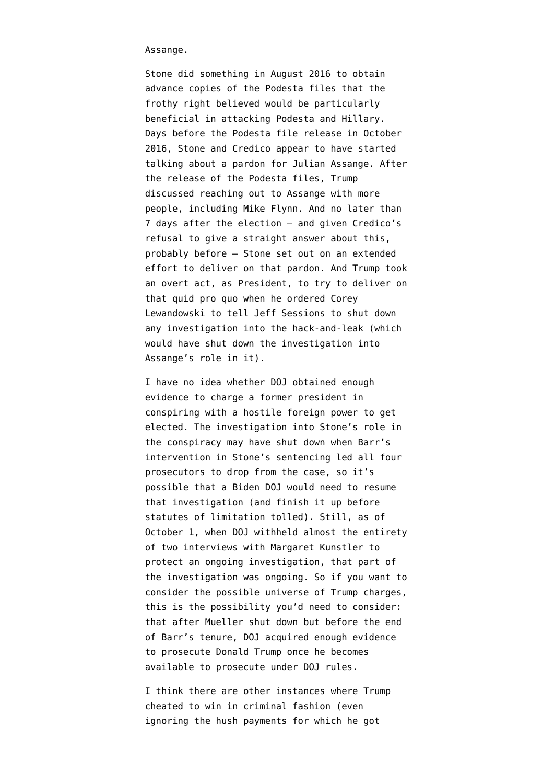Assange.

Stone did something in August 2016 to obtain advance copies of the Podesta files that the frothy right believed would be particularly beneficial in attacking Podesta and Hillary. Days before the Podesta file release in October 2016, Stone and Credico appear to have started talking about a pardon for Julian Assange. After the release of the Podesta files, Trump discussed reaching out to Assange with more people, including Mike Flynn. And no later than 7 days after the election — and given Credico's [refusal to give a straight answer](https://www.emptywheel.net/2020/09/19/randy-credico-refuses-to-answer-whether-roger-stone-called-him-about-an-assange-pardon-on-november-9-2016/) about this, probably before — Stone set out on an extended effort to deliver on that pardon. And Trump took an overt act, as President, to try to deliver on that quid pro quo when he ordered Corey Lewandowski to tell Jeff Sessions to shut down any investigation into the hack-and-leak (which would have shut down the investigation into Assange's role in it).

I have no idea whether DOJ obtained enough evidence to charge a former president in conspiring with a hostile foreign power to get elected. The investigation into Stone's role in the conspiracy may have shut down when Barr's intervention in Stone's sentencing led all four prosecutors to drop from the case, so it's possible that a Biden DOJ would need to resume that investigation (and finish it up before statutes of limitation tolled). Still, as of October 1, when DOJ [withheld](https://beta.documentcloud.org/documents/20393605-11th-mueller-foia-release-201001#document/p349/a2002770) almost the entirety of two interviews with Margaret Kunstler to protect an ongoing investigation, that part of the investigation was ongoing. So if you want to consider the possible universe of Trump charges, this is the possibility you'd need to consider: that after Mueller shut down but before the end of Barr's tenure, DOJ acquired enough evidence to prosecute Donald Trump once he becomes available to prosecute under DOJ rules.

I think there are other instances where Trump cheated to win in criminal fashion (even ignoring the hush payments for which he got